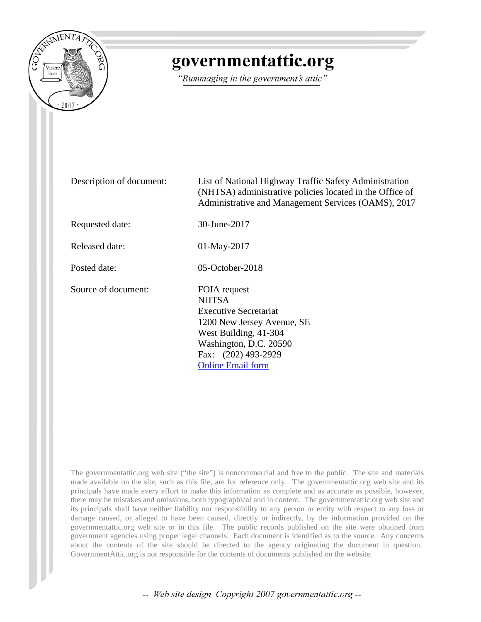

## governmentattic.org

"Rummaging in the government's attic"

Description of document: List of National Highway Traffic Safety Administration (NHTSA) administrative policies located in the Office of Administrative and Management Services (OAMS), 2017

Requested date: 30-June-2017

Released date: 01-May-2017

Posted date: 05-October-2018

Source of document: FOIA request

**NHTSA** Executive Secretariat 1200 New Jersey Avenue, SE West Building, 41-304 Washington, D.C. 20590 Fax: (202) 493-2929 [Online Email form](https://one.nhtsa.gov/nhtsa-dpmextn/jsp/email/email_nhtsa_foia.jsp)

The governmentattic.org web site ("the site") is noncommercial and free to the public. The site and materials made available on the site, such as this file, are for reference only. The governmentattic.org web site and its principals have made every effort to make this information as complete and as accurate as possible, however, there may be mistakes and omissions, both typographical and in content. The governmentattic.org web site and its principals shall have neither liability nor responsibility to any person or entity with respect to any loss or damage caused, or alleged to have been caused, directly or indirectly, by the information provided on the governmentattic.org web site or in this file. The public records published on the site were obtained from government agencies using proper legal channels. Each document is identified as to the source. Any concerns about the contents of the site should be directed to the agency originating the document in question. GovernmentAttic.org is not responsible for the contents of documents published on the website.

-- Web site design Copyright 2007 governmentattic.org --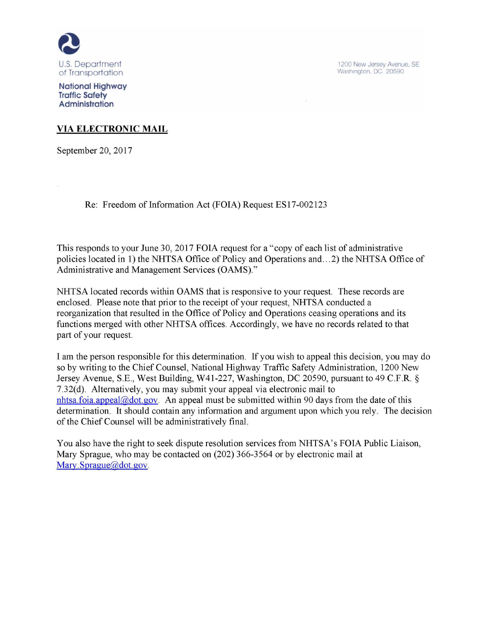

1200 New Jersey Avenue. SE Washington. DC 20590

**National Highway Traffic Safety Administration** 

## **VIA ELECTRONIC MAIL**

September 20, 2017

Re: Freedom of Information Act (FOIA) Request ES17-002123

This responds to your June 30, 2017 FOIA request for a "copy of each list of administrative policies located in 1) the NHTSA Office of Policy and Operations and ... 2) the NHTSA Office of Administrative and Management Services (OAMS)."

NHTSA located records within OAMS that is responsive to your request. These records are enclosed. Please note that prior to the receipt of your request, NHTSA conducted a reorganization that resulted in the Office of Policy and Operations ceasing operations and its functions merged with other NHTSA offices. Accordingly, we have no records related to that part of your request.

I am the person responsible for this determination. If you wish to appeal this decision, you may do so by writing to the Chief Counsel, National Highway Traffic Safety Administration, 1200 New Jersey Avenue, S.E., West Building, W41-227, Washington, DC 20590, pursuant to 49 C.F.R § 7.32(d). Alternatively, you may submit your appeal via electronic mail to nhtsa.foia appeal@dot.gov. An appeal must be submitted within 90 days from the date of this determination. It should contain any information and argument upon which you rely. The decision of the Chief Counsel will be administratively final.

You also have the right to seek dispute resolution services from NHTSA's FOIA Public Liaison, Mary Sprague, who may be contacted on (202) 366-3564 or by electronic mail at Mary. Sprague@dot.gov.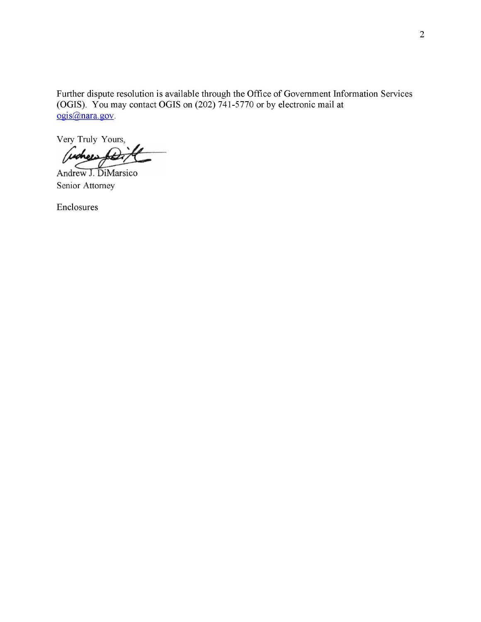Further dispute resolution is available through the Office of Government Information Services (OGIS). You may contact OGIS on (202) 741-5770 or by electronic mail at ogis@nara.gov.

Very Truly Yours,

Andrew J. DiMarsico Senior Attorney

Enclosures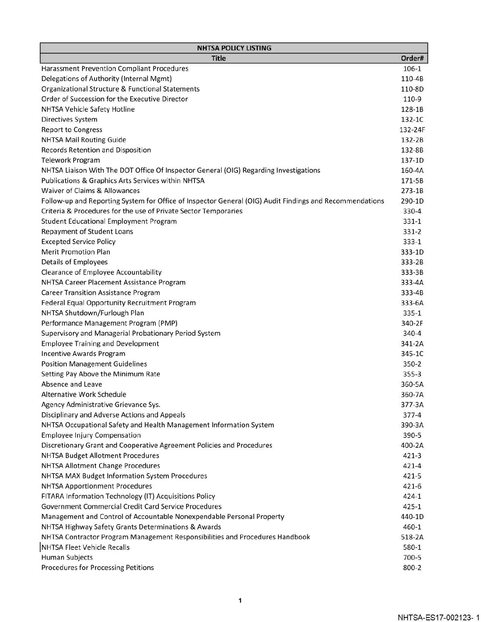| <b>NHTSA POLICY LISTING</b>                                                                             |            |
|---------------------------------------------------------------------------------------------------------|------------|
| <b>Title</b>                                                                                            | Order#     |
| Harassment Prevention Compliant Procedures                                                              | 106-1      |
| Delegations of Authority (Internal Mgmt)                                                                | 110-4B     |
| Organizational Structure & Functional Statements                                                        | 110-8D     |
| Order of Succession for the Executive Director                                                          | 110-9      |
| NHTSA Vehicle Safety Hotline                                                                            | 128-1B     |
| Directives System                                                                                       | 132-1C     |
| <b>Report to Congress</b>                                                                               | 132-24F    |
| <b>NHTSA Mail Routing Guide</b>                                                                         | 132-2B     |
| Records Retention and Disposition                                                                       | 132-8B     |
| <b>Telework Program</b>                                                                                 | 137-1D     |
| NHTSA Liaison With The DOT Office Of Inspector General (OIG) Regarding Investigations                   | 160-4A     |
| Publications & Graphics Arts Services within NHTSA                                                      | 171-5B     |
| Waiver of Claims & Allowances                                                                           | $273-1B$   |
| Follow-up and Reporting System for Office of Inspector General (OIG) Audit Findings and Recommendations | 290-1D     |
| Criteria & Procedures for the use of Private Sector Temporaries                                         | 330-4      |
| <b>Student Educational Employment Program</b>                                                           | $331 - 1$  |
| Repayment of Student Loans                                                                              | 331-2      |
| <b>Excepted Service Policy</b>                                                                          | $333 - 1$  |
| <b>Merit Promotion Plan</b>                                                                             | 333-1D     |
| <b>Details of Employees</b>                                                                             | 333-2B     |
| Clearance of Employee Accountability                                                                    | 333-3B     |
| NHTSA Career Placement Assistance Program                                                               | 333-4A     |
| <b>Career Transition Assistance Program</b>                                                             | 333-4B     |
| Federal Equal Opportunity Recruitment Program                                                           | 333-6A     |
| NHTSA Shutdown/Furlough Plan                                                                            | $335 - 1$  |
| Performance Management Program (PMP)                                                                    | 340-2F     |
| Supervisory and Managerial Probationary Period System                                                   | $340 - 4$  |
| <b>Employee Training and Development</b>                                                                | $341 - 2A$ |
| Incentive Awards Program                                                                                | 345-1C     |
| <b>Position Management Guidelines</b>                                                                   | 350-2      |
| Setting Pay Above the Minimum Rate                                                                      | $355 - 3$  |
| Absence and Leave                                                                                       | 360-5A     |
| Alternative Work Schedule                                                                               | 360-7A     |
| Agency Administrative Grievance Sys.                                                                    | 377-3A     |
| Disciplinary and Adverse Actions and Appeals                                                            | $377 - 4$  |
| NHTSA Occupational Safety and Health Management Information System                                      | 390-3A     |
| <b>Employee Injury Compensation</b>                                                                     | 390-5      |
| Discretionary Grant and Cooperative Agreement Policies and Procedures                                   | 400-2A     |
| <b>NHTSA Budget Allotment Procedures</b>                                                                | $421 - 3$  |
| <b>NHTSA Allotment Change Procedures</b>                                                                | $421 - 4$  |
| NHTSA MAX Budget Information System Procedures                                                          | 421-5      |
| <b>NHTSA Apportionment Procedures</b>                                                                   | $421 - 6$  |
| FITARA Information Technology (IT) Acquisitions Policy                                                  | $424 - 1$  |
| Government Commercial Credit Card Service Procedures                                                    | $425 - 1$  |
| Management and Control of Accountable Nonexpendable Personal Property                                   | 440-1D     |
| NHTSA Highway Safety Grants Determinations & Awards                                                     | 460-1      |
| NHTSA Contractor Program Management Responsibilities and Procedures Handbook                            | 518-2A     |
| NHTSA Fleet Vehicle Recalls                                                                             | 580-1      |
| <b>Human Subjects</b>                                                                                   | 700-5      |
| Procedures for Processing Petitions                                                                     | 800-2      |
|                                                                                                         |            |